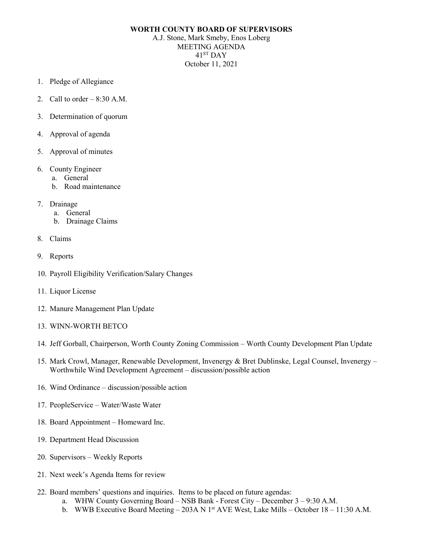## **WORTH COUNTY BOARD OF SUPERVISORS**

A.J. Stone, Mark Smeby, Enos Loberg MEETING AGENDA 41ST DAY October 11, 2021

- 1. Pledge of Allegiance
- 2. Call to order  $-8:30$  A.M.
- 3. Determination of quorum
- 4. Approval of agenda
- 5. Approval of minutes
- 6. County Engineer
	- a. General
	- b. Road maintenance
- 7. Drainage
	- a. General
	- b. Drainage Claims
- 8. Claims
- 9. Reports
- 10. Payroll Eligibility Verification/Salary Changes
- 11. Liquor License
- 12. Manure Management Plan Update
- 13. WINN-WORTH BETCO
- 14. Jeff Gorball, Chairperson, Worth County Zoning Commission Worth County Development Plan Update
- 15. Mark Crowl, Manager, Renewable Development, Invenergy & Bret Dublinske, Legal Counsel, Invenergy Worthwhile Wind Development Agreement – discussion/possible action
- 16. Wind Ordinance discussion/possible action
- 17. PeopleService Water/Waste Water
- 18. Board Appointment Homeward Inc.
- 19. Department Head Discussion
- 20. Supervisors Weekly Reports
- 21. Next week's Agenda Items for review
- 22. Board members' questions and inquiries. Items to be placed on future agendas:
	- a. WHW County Governing Board NSB Bank Forest City December 3 9:30 A.M.
	- b. WWB Executive Board Meeting 203A N  $1<sup>st</sup>$  AVE West, Lake Mills October 18 11:30 A.M.